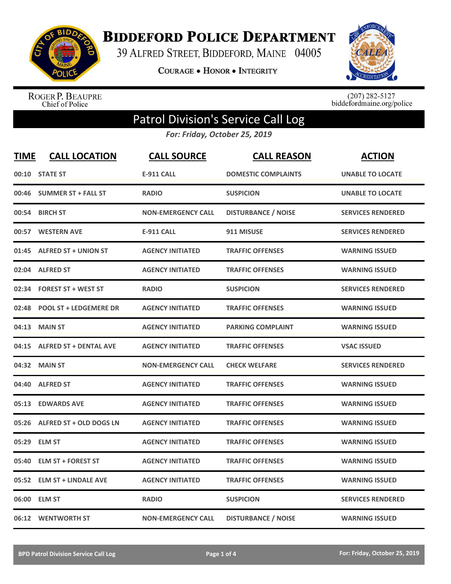

**BIDDEFORD POLICE DEPARTMENT** 

39 ALFRED STREET, BIDDEFORD, MAINE 04005

**COURAGE . HONOR . INTEGRITY** 



ROGER P. BEAUPRE<br>Chief of Police

 $(207)$  282-5127<br>biddefordmaine.org/police

## Patrol Division's Service Call Log

*For: Friday, October 25, 2019*

| <b>TIME</b> | <b>CALL LOCATION</b>          | <b>CALL SOURCE</b>        | <b>CALL REASON</b>         | <b>ACTION</b>            |
|-------------|-------------------------------|---------------------------|----------------------------|--------------------------|
|             | 00:10 STATE ST                | <b>E-911 CALL</b>         | <b>DOMESTIC COMPLAINTS</b> | <b>UNABLE TO LOCATE</b>  |
| 00:46       | <b>SUMMER ST + FALL ST</b>    | <b>RADIO</b>              | <b>SUSPICION</b>           | <b>UNABLE TO LOCATE</b>  |
| 00:54       | <b>BIRCH ST</b>               | <b>NON-EMERGENCY CALL</b> | <b>DISTURBANCE / NOISE</b> | <b>SERVICES RENDERED</b> |
| 00:57       | <b>WESTERN AVE</b>            | <b>E-911 CALL</b>         | 911 MISUSE                 | <b>SERVICES RENDERED</b> |
| 01:45       | <b>ALFRED ST + UNION ST</b>   | <b>AGENCY INITIATED</b>   | <b>TRAFFIC OFFENSES</b>    | <b>WARNING ISSUED</b>    |
|             | 02:04 ALFRED ST               | <b>AGENCY INITIATED</b>   | <b>TRAFFIC OFFENSES</b>    | <b>WARNING ISSUED</b>    |
| 02:34       | <b>FOREST ST + WEST ST</b>    | <b>RADIO</b>              | <b>SUSPICION</b>           | <b>SERVICES RENDERED</b> |
| 02:48       | <b>POOL ST + LEDGEMERE DR</b> | <b>AGENCY INITIATED</b>   | <b>TRAFFIC OFFENSES</b>    | <b>WARNING ISSUED</b>    |
| 04:13       | <b>MAIN ST</b>                | <b>AGENCY INITIATED</b>   | <b>PARKING COMPLAINT</b>   | <b>WARNING ISSUED</b>    |
| 04:15       | <b>ALFRED ST + DENTAL AVE</b> | <b>AGENCY INITIATED</b>   | <b>TRAFFIC OFFENSES</b>    | <b>VSAC ISSUED</b>       |
|             | 04:32 MAIN ST                 | <b>NON-EMERGENCY CALL</b> | <b>CHECK WELFARE</b>       | <b>SERVICES RENDERED</b> |
| 04:40       | <b>ALFRED ST</b>              | <b>AGENCY INITIATED</b>   | <b>TRAFFIC OFFENSES</b>    | <b>WARNING ISSUED</b>    |
| 05:13       | <b>EDWARDS AVE</b>            | <b>AGENCY INITIATED</b>   | <b>TRAFFIC OFFENSES</b>    | <b>WARNING ISSUED</b>    |
| 05:26       | ALFRED ST + OLD DOGS LN       | <b>AGENCY INITIATED</b>   | <b>TRAFFIC OFFENSES</b>    | <b>WARNING ISSUED</b>    |
| 05:29       | <b>ELM ST</b>                 | <b>AGENCY INITIATED</b>   | <b>TRAFFIC OFFENSES</b>    | <b>WARNING ISSUED</b>    |
| 05:40       | <b>ELM ST + FOREST ST</b>     | <b>AGENCY INITIATED</b>   | <b>TRAFFIC OFFENSES</b>    | <b>WARNING ISSUED</b>    |
| 05:52       | <b>ELM ST + LINDALE AVE</b>   | <b>AGENCY INITIATED</b>   | <b>TRAFFIC OFFENSES</b>    | <b>WARNING ISSUED</b>    |
| 06:00       | <b>ELM ST</b>                 | <b>RADIO</b>              | <b>SUSPICION</b>           | <b>SERVICES RENDERED</b> |
|             | 06:12 WENTWORTH ST            | <b>NON-EMERGENCY CALL</b> | <b>DISTURBANCE / NOISE</b> | <b>WARNING ISSUED</b>    |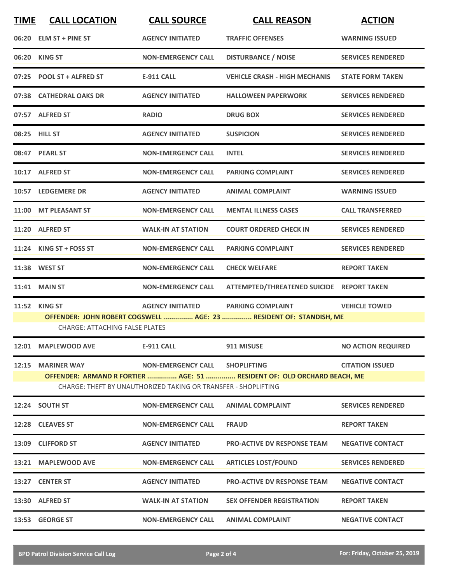| <b>TIME</b> | <b>CALL LOCATION</b>                  | <b>CALL SOURCE</b>                                             | <b>CALL REASON</b>                                                      | <b>ACTION</b>             |
|-------------|---------------------------------------|----------------------------------------------------------------|-------------------------------------------------------------------------|---------------------------|
|             | 06:20 ELM ST + PINE ST                | <b>AGENCY INITIATED</b>                                        | <b>TRAFFIC OFFENSES</b>                                                 | <b>WARNING ISSUED</b>     |
|             | 06:20 KING ST                         | <b>NON-EMERGENCY CALL</b>                                      | <b>DISTURBANCE / NOISE</b>                                              | <b>SERVICES RENDERED</b>  |
|             | 07:25 POOL ST + ALFRED ST             | <b>E-911 CALL</b>                                              | <b>VEHICLE CRASH - HIGH MECHANIS</b>                                    | <b>STATE FORM TAKEN</b>   |
|             | 07:38 CATHEDRAL OAKS DR               | <b>AGENCY INITIATED</b>                                        | <b>HALLOWEEN PAPERWORK</b>                                              | <b>SERVICES RENDERED</b>  |
|             | 07:57 ALFRED ST                       | <b>RADIO</b>                                                   | <b>DRUG BOX</b>                                                         | <b>SERVICES RENDERED</b>  |
|             | 08:25 HILL ST                         | <b>AGENCY INITIATED</b>                                        | <b>SUSPICION</b>                                                        | <b>SERVICES RENDERED</b>  |
|             | 08:47 PEARL ST                        | <b>NON-EMERGENCY CALL</b>                                      | <b>INTEL</b>                                                            | <b>SERVICES RENDERED</b>  |
|             | 10:17 ALFRED ST                       | <b>NON-EMERGENCY CALL</b>                                      | <b>PARKING COMPLAINT</b>                                                | <b>SERVICES RENDERED</b>  |
|             | 10:57 LEDGEMERE DR                    | <b>AGENCY INITIATED</b>                                        | <b>ANIMAL COMPLAINT</b>                                                 | <b>WARNING ISSUED</b>     |
|             | 11:00 MT PLEASANT ST                  | <b>NON-EMERGENCY CALL</b>                                      | <b>MENTAL ILLNESS CASES</b>                                             | <b>CALL TRANSFERRED</b>   |
|             | 11:20 ALFRED ST                       | <b>WALK-IN AT STATION</b>                                      | <b>COURT ORDERED CHECK IN</b>                                           | <b>SERVICES RENDERED</b>  |
|             | 11:24 KING ST + FOSS ST               | <b>NON-EMERGENCY CALL</b>                                      | <b>PARKING COMPLAINT</b>                                                | <b>SERVICES RENDERED</b>  |
|             | 11:38 WEST ST                         | <b>NON-EMERGENCY CALL</b>                                      | <b>CHECK WELFARE</b>                                                    | <b>REPORT TAKEN</b>       |
| 11:41       | <b>MAIN ST</b>                        | <b>NON-EMERGENCY CALL</b>                                      | ATTEMPTED/THREATENED SUICIDE REPORT TAKEN                               |                           |
| 11:52       | <b>KING ST</b>                        | <b>AGENCY INITIATED</b>                                        | <b>PARKING COMPLAINT</b>                                                | <b>VEHICLE TOWED</b>      |
|             | <b>CHARGE: ATTACHING FALSE PLATES</b> |                                                                | OFFENDER: JOHN ROBERT COGSWELL  AGE: 23  RESIDENT OF: STANDISH, ME      |                           |
|             | 12:01 MAPLEWOOD AVE                   | <b>E-911 CALL</b>                                              | 911 MISUSE                                                              | <b>NO ACTION REQUIRED</b> |
|             | 12:15 MARINER WAY                     | <b>NON-EMERGENCY CALL</b>                                      | <b>SHOPLIFTING</b>                                                      | <b>CITATION ISSUED</b>    |
|             |                                       | CHARGE: THEFT BY UNAUTHORIZED TAKING OR TRANSFER - SHOPLIFTING | OFFENDER: ARMAND R FORTIER  AGE: 51  RESIDENT OF: OLD ORCHARD BEACH, ME |                           |
|             | 12:24 SOUTH ST                        | <b>NON-EMERGENCY CALL</b>                                      | <b>ANIMAL COMPLAINT</b>                                                 | <b>SERVICES RENDERED</b>  |
|             | 12:28 CLEAVES ST                      | <b>NON-EMERGENCY CALL</b>                                      | <b>FRAUD</b>                                                            | <b>REPORT TAKEN</b>       |
|             | 13:09 CLIFFORD ST                     | <b>AGENCY INITIATED</b>                                        | <b>PRO-ACTIVE DV RESPONSE TEAM</b>                                      | <b>NEGATIVE CONTACT</b>   |
|             | 13:21 MAPLEWOOD AVE                   | <b>NON-EMERGENCY CALL</b>                                      | <b>ARTICLES LOST/FOUND</b>                                              | <b>SERVICES RENDERED</b>  |
|             | 13:27 CENTER ST                       | <b>AGENCY INITIATED</b>                                        | <b>PRO-ACTIVE DV RESPONSE TEAM</b>                                      | <b>NEGATIVE CONTACT</b>   |
|             | 13:30 ALFRED ST                       | <b>WALK-IN AT STATION</b>                                      | <b>SEX OFFENDER REGISTRATION</b>                                        | <b>REPORT TAKEN</b>       |
|             | 13:53 GEORGE ST                       | <b>NON-EMERGENCY CALL</b>                                      | <b>ANIMAL COMPLAINT</b>                                                 | <b>NEGATIVE CONTACT</b>   |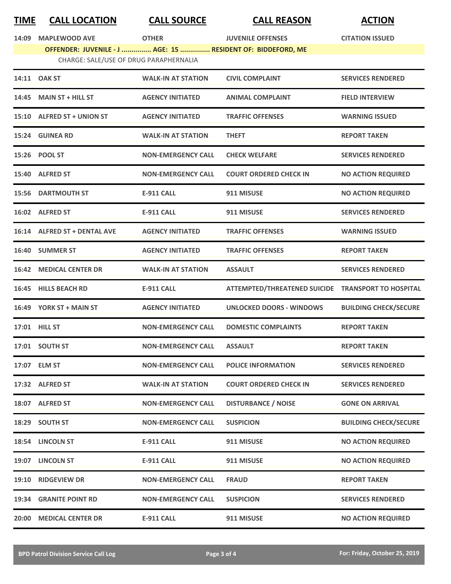| <u>TIME</u> | <b>CALL LOCATION</b>                                        | <b>CALL SOURCE</b>        | <b>CALL REASON</b>                                 | <b>ACTION</b>                |
|-------------|-------------------------------------------------------------|---------------------------|----------------------------------------------------|------------------------------|
| 14:09       | <b>MAPLEWOOD AVE</b>                                        | <b>OTHER</b>              | <b>JUVENILE OFFENSES</b>                           | <b>CITATION ISSUED</b>       |
|             | OFFENDER: JUVENILE - J  AGE: 15  RESIDENT OF: BIDDEFORD, ME |                           |                                                    |                              |
|             | CHARGE: SALE/USE OF DRUG PARAPHERNALIA                      |                           |                                                    |                              |
|             | 14:11 OAK ST                                                | <b>WALK-IN AT STATION</b> | <b>CIVIL COMPLAINT</b>                             | <b>SERVICES RENDERED</b>     |
| 14:45       | <b>MAIN ST + HILL ST</b>                                    | <b>AGENCY INITIATED</b>   | <b>ANIMAL COMPLAINT</b>                            | <b>FIELD INTERVIEW</b>       |
|             | 15:10 ALFRED ST + UNION ST                                  | <b>AGENCY INITIATED</b>   | <b>TRAFFIC OFFENSES</b>                            | <b>WARNING ISSUED</b>        |
|             | 15:24 GUINEA RD                                             | <b>WALK-IN AT STATION</b> | <b>THEFT</b>                                       | <b>REPORT TAKEN</b>          |
|             | 15:26 POOL ST                                               | <b>NON-EMERGENCY CALL</b> | <b>CHECK WELFARE</b>                               | <b>SERVICES RENDERED</b>     |
|             | 15:40 ALFRED ST                                             | <b>NON-EMERGENCY CALL</b> | <b>COURT ORDERED CHECK IN</b>                      | <b>NO ACTION REQUIRED</b>    |
|             | <b>15:56 DARTMOUTH ST</b>                                   | <b>E-911 CALL</b>         | 911 MISUSE                                         | <b>NO ACTION REQUIRED</b>    |
|             | 16:02 ALFRED ST                                             | <b>E-911 CALL</b>         | 911 MISUSE                                         | <b>SERVICES RENDERED</b>     |
|             | 16:14 ALFRED ST + DENTAL AVE                                | <b>AGENCY INITIATED</b>   | <b>TRAFFIC OFFENSES</b>                            | <b>WARNING ISSUED</b>        |
|             | 16:40 SUMMER ST                                             | <b>AGENCY INITIATED</b>   | <b>TRAFFIC OFFENSES</b>                            | <b>REPORT TAKEN</b>          |
|             | <b>16:42 MEDICAL CENTER DR</b>                              | <b>WALK-IN AT STATION</b> | <b>ASSAULT</b>                                     | <b>SERVICES RENDERED</b>     |
|             | 16:45 HILLS BEACH RD                                        | <b>E-911 CALL</b>         | ATTEMPTED/THREATENED SUICIDE TRANSPORT TO HOSPITAL |                              |
|             | 16:49 YORK ST + MAIN ST                                     | <b>AGENCY INITIATED</b>   | <b>UNLOCKED DOORS - WINDOWS</b>                    | <b>BUILDING CHECK/SECURE</b> |
|             | 17:01 HILL ST                                               | <b>NON-EMERGENCY CALL</b> | <b>DOMESTIC COMPLAINTS</b>                         | <b>REPORT TAKEN</b>          |
|             | 17:01 SOUTH ST                                              | <b>NON-EMERGENCY CALL</b> | <b>ASSAULT</b>                                     | <b>REPORT TAKEN</b>          |
|             | 17:07 ELM ST                                                | <b>NON-EMERGENCY CALL</b> | <b>POLICE INFORMATION</b>                          | <b>SERVICES RENDERED</b>     |
|             | 17:32 ALFRED ST                                             | <b>WALK-IN AT STATION</b> | <b>COURT ORDERED CHECK IN</b>                      | <b>SERVICES RENDERED</b>     |
|             | 18:07 ALFRED ST                                             | <b>NON-EMERGENCY CALL</b> | <b>DISTURBANCE / NOISE</b>                         | <b>GONE ON ARRIVAL</b>       |
|             | 18:29 SOUTH ST                                              | <b>NON-EMERGENCY CALL</b> | <b>SUSPICION</b>                                   | <b>BUILDING CHECK/SECURE</b> |
|             | 18:54 LINCOLN ST                                            | <b>E-911 CALL</b>         | 911 MISUSE                                         | <b>NO ACTION REQUIRED</b>    |
|             | 19:07 LINCOLN ST                                            | <b>E-911 CALL</b>         | 911 MISUSE                                         | <b>NO ACTION REQUIRED</b>    |
|             | 19:10 RIDGEVIEW DR                                          | <b>NON-EMERGENCY CALL</b> | <b>FRAUD</b>                                       | <b>REPORT TAKEN</b>          |
|             | <b>19:34 GRANITE POINT RD</b>                               | <b>NON-EMERGENCY CALL</b> | <b>SUSPICION</b>                                   | <b>SERVICES RENDERED</b>     |

**20:00 MEDICAL CENTER DR E-911 CALL 911 MISUSE NO ACTION REQUIRED**